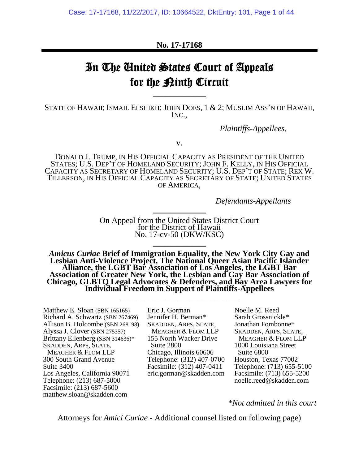### **No. 17-17168**

# In The United States Court of Appeals for the <u>Pinth</u> Circuit

STATE OF HAWAII; ISMAIL ELSHIKH; JOHN DOES, 1 & 2; MUSLIM ASS'N OF HAWAII, INC.,

 $\frac{1}{2}$ 

*Plaintiffs-Appellees*,

v.

DONALD J. TRUMP, IN HIS OFFICIAL CAPACITY AS PRESIDENT OF THE UNITED STATES; U.S. DEP'T OF HOMELAND SECURITY; JOHN F. KELLY, IN HIS OFFICIAL CAPACITY AS SECRETARY OF HOMELAND SECURITY; U.S. DEP'T OF STATE; REX W. TILLERSON, IN HIS OFFICIAL CAPACITY AS SECRETARY OF STATE; UNITED STATES OF AMERICA,

*Defendants-Appellants*

On Appeal from the United States District Court for the District of Hawaii No. 17-cv-50 (DKW/KSC)

 $\frac{1}{2}$ 

 $\frac{1}{2}$ 

*Amicus Curiae* **Brief of Immigration Equality, the New York City Gay and Lesbian Anti-Violence Project, The National Queer Asian Pacific Islander Alliance, the LGBT Bar Association of Los Angeles, the LGBT Bar Association of Greater New York, the Lesbian and Gay Bar Association of Chicago, GLBTQ Legal Advocates & Defenders, and Bay Area Lawyers for Individual Freedom in Support of Plaintiffs-Appellees**

\_\_\_\_\_\_\_\_\_\_\_\_\_\_\_\_\_\_\_\_\_\_\_\_\_\_\_\_\_

Matthew E. Sloan (SBN 165165) Richard A. Schwartz (SBN 267469) Allison B. Holcombe (SBN 268198) Alyssa J. Clover (SBN 275357) Brittany Ellenberg (SBN 314636)\* SKADDEN, ARPS, SLATE, MEAGHER & FLOM LLP 300 South Grand Avenue Suite 3400 Los Angeles, California 90071 Telephone: (213) 687-5000 Facsimile: (213) 687-5600 matthew.sloan@skadden.com

Eric J. Gorman Jennifer H. Berman\* SKADDEN, ARPS, SLATE, MEAGHER & FLOM LLP 155 North Wacker Drive Suite 2800 Chicago, Illinois 60606 Telephone: (312) 407-0700 Facsimile: (312) 407-0411 eric.gorman@skadden.com Noelle M. Reed Sarah Grossnickle\* Jonathan Fombonne\* SKADDEN, ARPS, SLATE, MEAGHER & FLOM LLP 1000 Louisiana Street Suite 6800 Houston, Texas 77002 Telephone: (713) 655-5100 Facsimile: (713) 655-5200 noelle.reed@skadden.com

*\*Not admitted in this court*

Attorneys for *Amici Curiae* - Additional counsel listed on following page)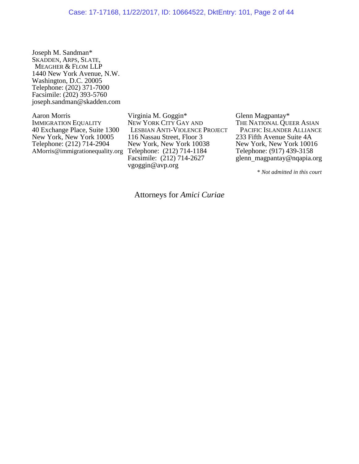Joseph M. Sandman\* SKADDEN, ARPS, SLATE, MEAGHER & FLOM LLP 1440 New York Avenue, N.W. Washington, D.C. 20005 Telephone: (202) 371-7000 Facsimile: (202) 393-5760 joseph.sandman@skadden.com

Aaron Morris IMMIGRATION EQUALITY 40 Exchange Place, Suite 1300 New York, New York 10005 Telephone: (212) 714-2904 AMorris@immigrationequality.org

Virginia M. Goggin\* NEW YORK CITY GAY AND LESBIAN ANTI-VIOLENCE PROJECT 116 Nassau Street, Floor 3 New York, New York 10038 Telephone: (212) 714-1184 Facsimile:  $(212)$  714-2627 vgoggin@avp.org

Glenn Magpantay\* THE NATIONAL QUEER ASIAN PACIFIC ISLANDER ALLIANCE 233 Fifth Avenue Suite 4A New York, New York 10016 Telephone: (917) 439-3158 glenn magpantay@nqapia.org

\* *Not admitted in this court*

Attorneys for *Amici Curiae*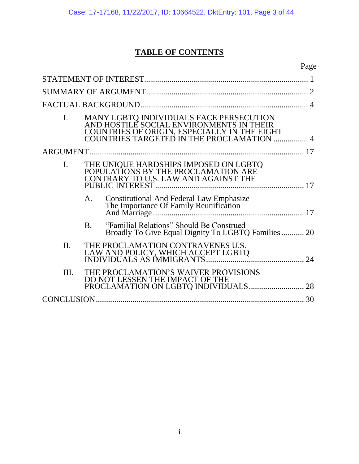## **TABLE OF CONTENTS**

|                |           |                                                                                                                                                                                  | Page |
|----------------|-----------|----------------------------------------------------------------------------------------------------------------------------------------------------------------------------------|------|
|                |           |                                                                                                                                                                                  |      |
|                |           |                                                                                                                                                                                  |      |
|                |           |                                                                                                                                                                                  |      |
| $\mathbf{I}$ . |           | MANY LGBTQ INDIVIDUALS FACE PERSECUTION<br>AND HOSTILE SOCIAL ENVIRONMENTS IN THEIR<br>COUNTRIES OF ORIGIN, ESPECIALLY IN THE EIGHT<br>COUNTRIES TARGETED IN THE PROCLAMATION  4 |      |
|                |           |                                                                                                                                                                                  |      |
| $\mathbf{I}$ . |           | THE UNIQUE HARDSHIPS IMPOSED ON LGBTQ<br>POPULATIONS BY THE PROCLAMATION ARE<br>CONTRARY TO U.S. LAW AND AGAINST THE                                                             |      |
|                | A.        | <b>Constitutional And Federal Law Emphasize<br/>The Importance Of Family Reunification</b>                                                                                       |      |
|                | <b>B.</b> | "Familial Relations" Should Be Construed<br>Broadly To Give Equal Dignity To LGBTQ Families  20                                                                                  |      |
| $\Pi$ .        |           | THE PROCLAMATION CONTRAVENES U.S.                                                                                                                                                |      |
| III.           |           | THE PROCLAMATION'S WAIVER PROVISIONS<br>DO NOT LESSEN THE IMPACT OF THE<br>PROCLAMATION ON LGBTQ INDIVIDUALS 28                                                                  |      |
|                |           |                                                                                                                                                                                  | 30   |
|                |           |                                                                                                                                                                                  |      |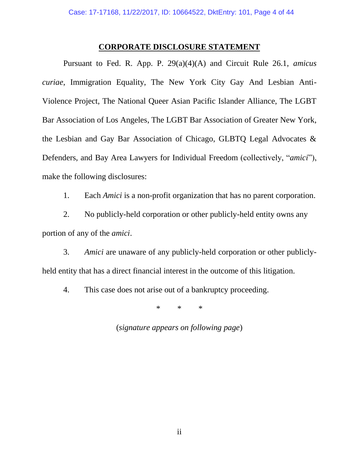#### **CORPORATE DISCLOSURE STATEMENT**

Pursuant to Fed. R. App. P. 29(a)(4)(A) and Circuit Rule 26.1, *amicus curiae*, Immigration Equality, The New York City Gay And Lesbian Anti-Violence Project, The National Queer Asian Pacific Islander Alliance, The LGBT Bar Association of Los Angeles, The LGBT Bar Association of Greater New York, the Lesbian and Gay Bar Association of Chicago, GLBTQ Legal Advocates & Defenders, and Bay Area Lawyers for Individual Freedom (collectively, "*amici*"), make the following disclosures:

1. Each *Amici* is a non-profit organization that has no parent corporation.

2. No publicly-held corporation or other publicly-held entity owns any portion of any of the *amici*.

3. *Amici* are unaware of any publicly-held corporation or other publiclyheld entity that has a direct financial interest in the outcome of this litigation.

4. This case does not arise out of a bankruptcy proceeding.

\* \* \*

(*signature appears on following page*)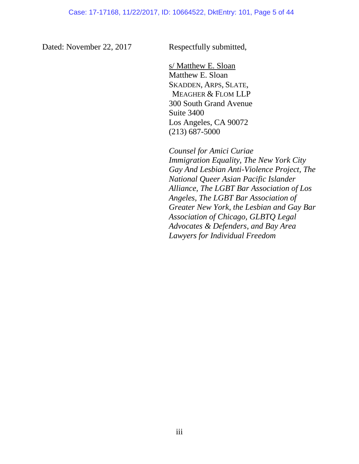Dated: November 22, 2017 Respectfully submitted,

s/ Matthew E. Sloan Matthew E. Sloan SKADDEN, ARPS, SLATE, MEAGHER & FLOM LLP 300 South Grand Avenue Suite 3400 Los Angeles, CA 90072 (213) 687-5000

*Counsel for Amici Curiae Immigration Equality, The New York City Gay And Lesbian Anti-Violence Project, The National Queer Asian Pacific Islander Alliance, The LGBT Bar Association of Los Angeles*, *The LGBT Bar Association of Greater New York, the Lesbian and Gay Bar Association of Chicago, GLBTQ Legal Advocates & Defenders, and Bay Area Lawyers for Individual Freedom*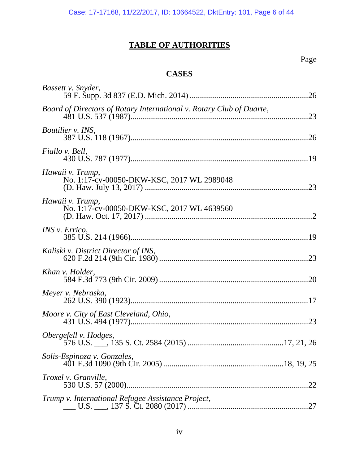## **TABLE OF AUTHORITIES**

## Page

### **CASES**

| Bassett v. Snyder,                                                   |     |
|----------------------------------------------------------------------|-----|
| Board of Directors of Rotary International v. Rotary Club of Duarte, |     |
| Boutilier v. INS,                                                    |     |
| Fiallo v. Bell,                                                      |     |
| Hawaii v. Trump,<br>No. 1:17-cv-00050-DKW-KSC, 2017 WL 2989048       |     |
| Hawaii v. Trump,<br>No. 1:17-cv-00050-DKW-KSC, 2017 WL 4639560       |     |
| <i>INS v. Errico,</i>                                                |     |
| Kaliski v. District Director of INS,                                 |     |
| Khan v. Holder,                                                      |     |
| Meyer v. Nebraska,                                                   |     |
| Moore v. City of East Cleveland, Ohio,                               |     |
| Obergefell v. Hodges,                                                |     |
| Solis-Espinoza v. Gonzales,                                          |     |
| Troxel v. Granville,                                                 | .22 |
| Trump v. International Refugee Assistance Project,                   |     |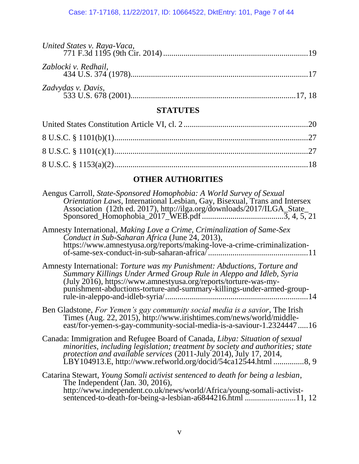| Zablocki v. Redhail, |  |
|----------------------|--|
|                      |  |

### **STATUTES**

## **OTHER AUTHORITIES**

| Aengus Carroll, State-Sponsored Homophobia: A World Survey of Sexual<br>Orientation Laws, International Lesbian, Gay, Bisexual, Trans and Intersex<br>Association (12th ed. 2017), http://ilga.org/downloads/2017/ILGA_State_                                                                         |
|-------------------------------------------------------------------------------------------------------------------------------------------------------------------------------------------------------------------------------------------------------------------------------------------------------|
| Amnesty International, Making Love a Crime, Criminalization of Same-Sex<br>Conduct in Sub-Saharan Africa (June 24, 2013),<br>https://www.amnestyusa.org/reports/making-love-a-crime-criminalization-                                                                                                  |
| Amnesty International: Torture was my Punishment: Abductions, Torture and<br>Summary Killings Under Armed Group Rule in Aleppo and Idleb, Syria<br>(July 2016), https://www.amnestyusa.org/reports/torture-was-my-<br>punishment-abductions-torture-and-summary-killings-under-armed-group-           |
| Ben Gladstone, For Yemen's gay community social media is a savior, The Irish<br>Times (Aug. 22, 2015), http://www.irishtimes.com/news/world/middle-<br>east/for-yemen-s-gay-community-social-media-is-a-saviour-1.232444716                                                                           |
| Canada: Immigration and Refugee Board of Canada, Libya: Situation of sexual<br>minorities, including legislation; treatment by society and authorities; state<br>protection and available services (2011-July 2014), July 17, 2014,<br>LBY104913.E, http://www.refworld.org/docid/54ca12544.html 8, 9 |
| Catarina Stewart, Young Somali activist sentenced to death for being a lesbian,<br>The Independent (Jan. 30, 2016),<br>http://www.independent.co.uk/news/world/Africa/young-somali-activist-<br>sentenced-to-death-for-being-a-lesbian-a6844216.html 11, 12                                           |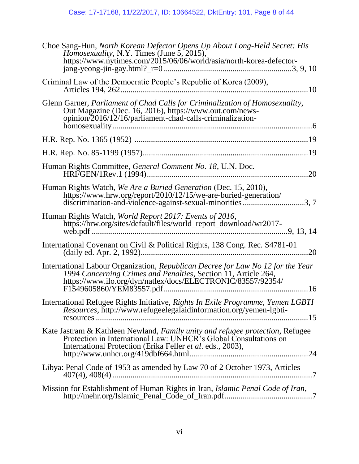| Choe Sang-Hun, North Korean Defector Opens Up About Long-Held Secret: His Homosexuality, N.Y. Times (June 5, 2015),<br>https://www.nytimes.com/2015/06/06/world/asia/north-korea-defector-                             |
|------------------------------------------------------------------------------------------------------------------------------------------------------------------------------------------------------------------------|
| Criminal Law of the Democratic People's Republic of Korea (2009),                                                                                                                                                      |
| Glenn Garner, Parliament of Chad Calls for Criminalization of Homosexuality,<br>Out Magazine (Dec. 16, 2016), https://www.out.com/news-<br>opinion/2016/12/16/parliament-chad-calls-criminalization-                   |
|                                                                                                                                                                                                                        |
|                                                                                                                                                                                                                        |
| Human Rights Committee, General Comment No. 18, U.N. Doc.                                                                                                                                                              |
| Human Rights Watch, We Are a Buried Generation (Dec. 15, 2010),<br>https://www.hrw.org/report/2010/12/15/we-are-buried-generation/<br>discrimination-and-violence-against-sexual-minorities3,7                         |
| Human Rights Watch, World Report 2017: Events of 2016,<br>9. 13. 14                                                                                                                                                    |
| International Covenant on Civil & Political Rights, 138 Cong. Rec. S4781-01<br>.20                                                                                                                                     |
| International Labour Organization, Republican Decree for Law No 12 for the Year<br>1994 Concerning Crimes and Penalties, Section 11, Article 264,<br>https://www.ilo.org/dyn/natlex/docs/ELECTRONIC/83557/92354/       |
| International Refugee Rights Initiative, Rights In Exile Programme, Yemen LGBTI<br><i>Resources</i> , http://www.refugeelegalaidinformation.org/yemen-lgbti-                                                           |
| Kate Jastram & Kathleen Newland, Family unity and refugee protection, Refugee<br>Protection in International Law: UNHCR's Global Consultations on<br>International Protection (Erika Feller et al. eds., 2003),<br>.24 |
| Libya: Penal Code of 1953 as amended by Law 70 of 2 October 1973, Articles                                                                                                                                             |
| Mission for Establishment of Human Rights in Iran, Islamic Penal Code of Iran,                                                                                                                                         |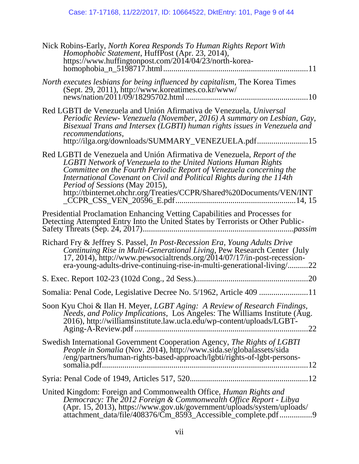| Nick Robins-Early, North Korea Responds To Human Rights Report With<br><i>Homophobic Statement</i> , HuffPost (Apr. 23, 2014),<br>https://www.huffingtonpost.com/2014/04/23/north-korea-                                                                                                                                                                                                                         |
|------------------------------------------------------------------------------------------------------------------------------------------------------------------------------------------------------------------------------------------------------------------------------------------------------------------------------------------------------------------------------------------------------------------|
| North executes lesbians for being influenced by capitalism, The Korea Times<br>(Sept. 29, 2011), http://www.koreatimes.co.kr/www/                                                                                                                                                                                                                                                                                |
| Red LGBTI de Venezuela and Unión Afirmativa de Venezuela, Universal<br>Periodic Review- Venezuela (November, 2016) A summary on Lesbian, Gay,<br>Bisexual Trans and Intersex (LGBTI) human rights issues in Venezuela and<br>recommendations,<br>http://ilga.org/downloads/SUMMARY_VENEZUELA.pdf15                                                                                                               |
| Red LGBTI de Venezuela and Unión Afirmativa de Venezuela, Report of the<br><b>LGBTI</b> Network of Venezuela to the United Nations Human Rights<br>Committee on the Fourth Periodic Report of Venezuela concerning the<br>International Covenant on Civil and Political Rights during the 114th<br><i>Period of Sessions</i> (May 2015),<br>http://tbinternet.ohchr.org/Treaties/CCPR/Shared%20Documents/VEN/INT |
| Presidential Proclamation Enhancing Vetting Capabilities and Processes for<br>Detecting Attempted Entry Into the United States by Terrorists or Other Public-                                                                                                                                                                                                                                                    |
| Richard Fry & Jeffrey S. Passel, In Post-Recession Era, Young Adults Drive<br>Continuing Rise in Multi-Generational Living, Pew Research Center (July<br>17, 2014), http://www.pewsocialtrends.org/2014/07/17/in-post-recession-<br>era-young-adults-drive-continuing-rise-in-multi-generational-living/22                                                                                                       |
|                                                                                                                                                                                                                                                                                                                                                                                                                  |
|                                                                                                                                                                                                                                                                                                                                                                                                                  |
| Soon Kyu Choi & Ilan H. Meyer, LGBT Aging: A Review of Research Findings,<br>Needs, and Policy Implications, Los Angeles: The Williams Institute (Aug.<br>2016), http://williamsinstitute.law.ucla.edu/wp-content/uploads/LGBT-<br>.22                                                                                                                                                                           |
| Swedish International Government Cooperation Agency, The Rights of LGBTI<br><i>People in Somalia</i> (Nov. 2014), http://www.sida.se/globalassets/sida<br>/eng/partners/human-rights-based-approach/lgbti/rights-of-lgbt-persons-                                                                                                                                                                                |
|                                                                                                                                                                                                                                                                                                                                                                                                                  |
| United Kingdom: Foreign and Commonwealth Office, <i>Human Rights and</i><br>Democracy: The 2012 Foreign & Commonwealth Office Report - Libya<br>$(Apr. 15, 2013)$ , https://www.gov.uk/government/uploads/system/uploads/<br>attachment_data/file/408376/Cm_8593_Accessible_complete.pdf 9                                                                                                                       |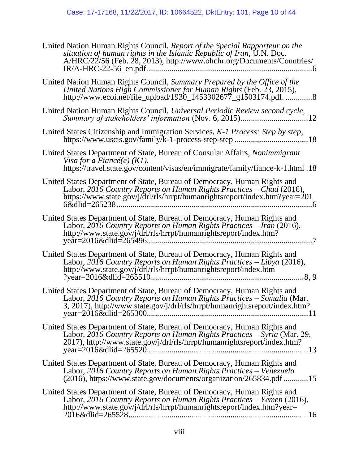| United Nation Human Rights Council, Report of the Special Rapporteur on the<br>situation of human rights in the Islamic Republic of Iran, U.N. Doc.<br>A/HRC/22/56 (Feb. 28, 2013), http://www.ohchr.org/Documents/Countries/                             |
|-----------------------------------------------------------------------------------------------------------------------------------------------------------------------------------------------------------------------------------------------------------|
| United Nation Human Rights Council, Summary Prepared by the Office of the<br>United Nations High Commissioner for Human Rights (Feb. 23, 2015),<br>http://www.ecoi.net/file_upload/1930_1453302677_g1503174.pdf. 8                                        |
|                                                                                                                                                                                                                                                           |
|                                                                                                                                                                                                                                                           |
| United States Department of State, Bureau of Consular Affairs, Nonimmigrant<br>Visa for a Fiancé(e) $(K1)$ ,<br>https://travel.state.gov/content/visas/en/immigrate/family/fiance-k-1.html.18                                                             |
| United States Department of State, Bureau of Democracy, Human Rights and<br>Labor, 2016 Country Reports on Human Rights Practices - Chad (2016),<br>https://www.state.gov/j/drl/rls/hrrpt/humanrightsreport/index.htm?year=201                            |
| United States Department of State, Bureau of Democracy, Human Rights and<br>Labor, $20\overline{16}$ Country Reports on Human Rights Practices – Iran (2016),<br>http://www.state.gov/j/drl/rls/hrrpt/humanrightsreport/index.htm?                        |
| United States Department of State, Bureau of Democracy, Human Rights and<br>Labor, 2016 Country Reports on Human Rights Practices – Libya (2016),<br>http://www.state.gov/j/drl/rls/hrrpt/humanrightsreport/index.htm                                     |
| United States Department of State, Bureau of Democracy, Human Rights and<br>Labor, 2016 Country Reports on Human Rights Practices – Somalia (Mar.<br>3, 2017), http://www.state.gov/j/drl/rls/hrrpt/humanrightsreport/index.htm?<br>year=2016&dlid=265300 |
| United States Department of State, Bureau of Democracy, Human Rights and<br>Labor, 2016 Country Reports on Human Rights Practices – Syria (Mar. 29,<br>2017), http://www.state.gov/j/drl/rls/hrrpt/humanrightsreport/index.htm?<br>13                     |
| United States Department of State, Bureau of Democracy, Human Rights and<br>Labor, 2016 Country Reports on Human Rights Practices - Venezuela<br>(2016), https://www.state.gov/documents/organization/265834.pdf 15                                       |
| United States Department of State, Bureau of Democracy, Human Rights and<br>Labor, 2016 Country Reports on Human Rights Practices – Yemen (2016),<br>http://www.state.gov/j/drl/rls/hrrpt/humanrightsreport/index.htm?year=                               |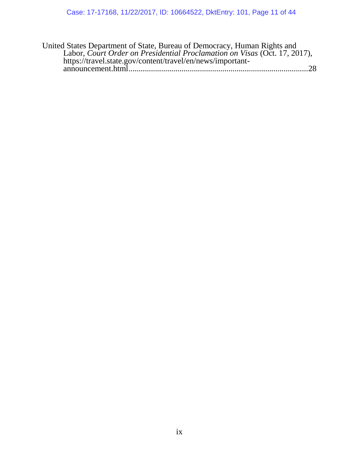| United States Department of State, Bureau of Democracy, Human Rights and  |  |
|---------------------------------------------------------------------------|--|
| Labor, Court Order on Presidential Proclamation on Visas (Oct. 17, 2017), |  |
| https://travel.state.gov/content/travel/en/news/important-                |  |
|                                                                           |  |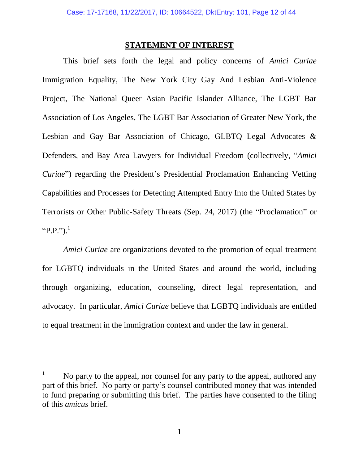#### **STATEMENT OF INTEREST**

<span id="page-11-0"></span>This brief sets forth the legal and policy concerns of *Amici Curiae* Immigration Equality, The New York City Gay And Lesbian Anti-Violence Project, The National Queer Asian Pacific Islander Alliance, The LGBT Bar Association of Los Angeles, The LGBT Bar Association of Greater New York, the Lesbian and Gay Bar Association of Chicago, GLBTQ Legal Advocates & Defenders, and Bay Area Lawyers for Individual Freedom (collectively, "*Amici Curiae*") regarding the President's Presidential Proclamation Enhancing Vetting Capabilities and Processes for Detecting Attempted Entry Into the United States by Terrorists or Other Public-Safety Threats (Sep. 24, 2017) (the "Proclamation" or "P.P.").<sup>1</sup>

*Amici Curiae* are organizations devoted to the promotion of equal treatment for LGBTQ individuals in the United States and around the world, including through organizing, education, counseling, direct legal representation, and advocacy. In particular, *Amici Curiae* believe that LGBTQ individuals are entitled to equal treatment in the immigration context and under the law in general.

 $\mathbf{1}$ No party to the appeal, nor counsel for any party to the appeal, authored any part of this brief. No party or party's counsel contributed money that was intended to fund preparing or submitting this brief. The parties have consented to the filing of this *amicus* brief.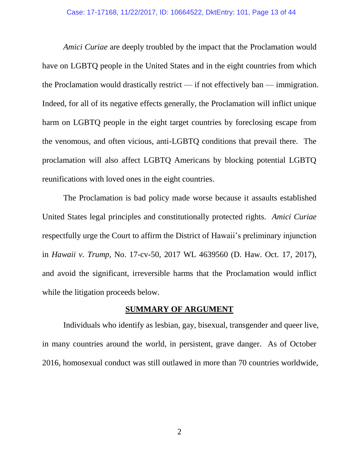*Amici Curiae* are deeply troubled by the impact that the Proclamation would have on LGBTQ people in the United States and in the eight countries from which the Proclamation would drastically restrict — if not effectively ban — immigration. Indeed, for all of its negative effects generally, the Proclamation will inflict unique harm on LGBTQ people in the eight target countries by foreclosing escape from the venomous, and often vicious, anti-LGBTQ conditions that prevail there. The proclamation will also affect LGBTQ Americans by blocking potential LGBTQ reunifications with loved ones in the eight countries.

The Proclamation is bad policy made worse because it assaults established United States legal principles and constitutionally protected rights. *Amici Curiae* respectfully urge the Court to affirm the District of Hawaii's preliminary injunction in *Hawaii v. Trump*, No. 17-cv-50, 2017 WL 4639560 (D. Haw. Oct. 17, 2017), and avoid the significant, irreversible harms that the Proclamation would inflict while the litigation proceeds below.

#### **SUMMARY OF ARGUMENT**

<span id="page-12-0"></span>Individuals who identify as lesbian, gay, bisexual, transgender and queer live, in many countries around the world, in persistent, grave danger. As of October 2016, homosexual conduct was still outlawed in more than 70 countries worldwide,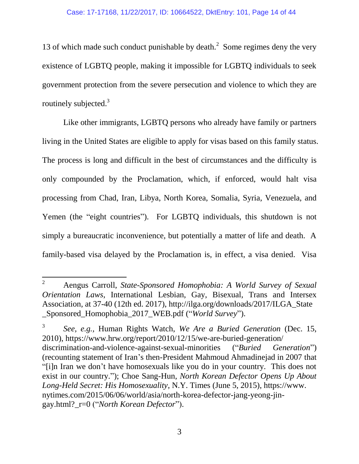13 of which made such conduct punishable by death. $2$  Some regimes deny the very existence of LGBTQ people, making it impossible for LGBTQ individuals to seek government protection from the severe persecution and violence to which they are routinely subjected. $3$ 

Like other immigrants, LGBTQ persons who already have family or partners living in the United States are eligible to apply for visas based on this family status. The process is long and difficult in the best of circumstances and the difficulty is only compounded by the Proclamation, which, if enforced, would halt visa processing from Chad, Iran, Libya, North Korea, Somalia, Syria, Venezuela, and Yemen (the "eight countries"). For LGBTQ individuals, this shutdown is not simply a bureaucratic inconvenience, but potentially a matter of life and death. A family-based visa delayed by the Proclamation is, in effect, a visa denied. Visa

 $\overline{\phantom{a}}$ <sup>2</sup> Aengus Carroll, *State-Sponsored Homophobia: A World Survey of Sexual Orientation Laws*, International Lesbian, Gay, Bisexual, Trans and Intersex Association, at 37-40 (12th ed. 2017), http://ilga.org/downloads/2017/ILGA\_State \_Sponsored\_Homophobia\_2017\_WEB.pdf ("*World Survey*").

<sup>3</sup> *See, e.g.,* Human Rights Watch, *We Are a Buried Generation* (Dec. 15, 2010), https://www.hrw.org/report/2010/12/15/we-are-buried-generation/ discrimination-and-violence-against-sexual-minorities ("*Buried Generation*") (recounting statement of Iran's then-President Mahmoud Ahmadinejad in 2007 that "[i]n Iran we don't have homosexuals like you do in your country. This does not exist in our country."); Choe Sang-Hun, *North Korean Defector Opens Up About Long-Held Secret: His Homosexuality*, N.Y. Times (June 5, 2015), https://www. nytimes.com/2015/06/06/world/asia/north-korea-defector-jang-yeong-jingay.html?\_r=0 ("*North Korean Defector*").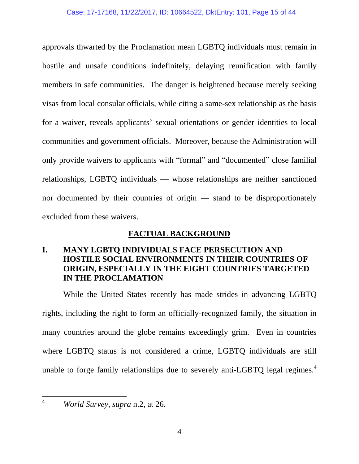approvals thwarted by the Proclamation mean LGBTQ individuals must remain in hostile and unsafe conditions indefinitely, delaying reunification with family members in safe communities. The danger is heightened because merely seeking visas from local consular officials, while citing a same-sex relationship as the basis for a waiver, reveals applicants' sexual orientations or gender identities to local communities and government officials. Moreover, because the Administration will only provide waivers to applicants with "formal" and "documented" close familial relationships, LGBTQ individuals — whose relationships are neither sanctioned nor documented by their countries of origin — stand to be disproportionately excluded from these waivers.

### **FACTUAL BACKGROUND**

### <span id="page-14-1"></span><span id="page-14-0"></span>**I. MANY LGBTQ INDIVIDUALS FACE PERSECUTION AND HOSTILE SOCIAL ENVIRONMENTS IN THEIR COUNTRIES OF ORIGIN, ESPECIALLY IN THE EIGHT COUNTRIES TARGETED IN THE PROCLAMATION**

While the United States recently has made strides in advancing LGBTQ rights, including the right to form an officially-recognized family, the situation in many countries around the globe remains exceedingly grim. Even in countries where LGBTQ status is not considered a crime, LGBTQ individuals are still unable to forge family relationships due to severely anti-LGBTQ legal regimes.<sup>4</sup>

 $\overline{a}$ 

<sup>4</sup> *World Survey*, *supra* n.2, at 26.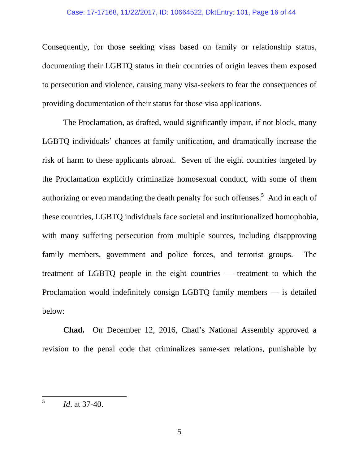Consequently, for those seeking visas based on family or relationship status, documenting their LGBTQ status in their countries of origin leaves them exposed to persecution and violence, causing many visa-seekers to fear the consequences of providing documentation of their status for those visa applications.

The Proclamation, as drafted, would significantly impair, if not block, many LGBTQ individuals' chances at family unification, and dramatically increase the risk of harm to these applicants abroad. Seven of the eight countries targeted by the Proclamation explicitly criminalize homosexual conduct, with some of them authorizing or even mandating the death penalty for such offenses.<sup>5</sup> And in each of these countries, LGBTQ individuals face societal and institutionalized homophobia, with many suffering persecution from multiple sources, including disapproving family members, government and police forces, and terrorist groups. The treatment of LGBTQ people in the eight countries — treatment to which the Proclamation would indefinitely consign LGBTQ family members — is detailed below:

**Chad.** On December 12, 2016, Chad's National Assembly approved a revision to the penal code that criminalizes same-sex relations, punishable by

 5 *Id*. at 37-40.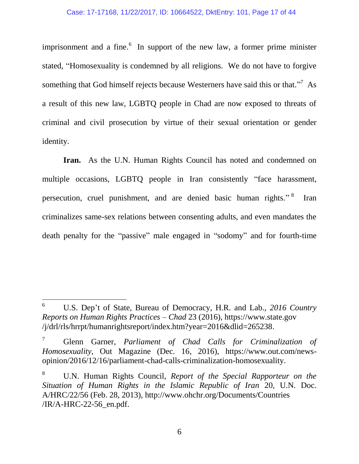imprisonment and a fine. $6\,$  In support of the new law, a former prime minister stated, "Homosexuality is condemned by all religions. We do not have to forgive something that God himself rejects because Westerners have said this or that."<sup>7</sup> As a result of this new law, LGBTQ people in Chad are now exposed to threats of criminal and civil prosecution by virtue of their sexual orientation or gender identity.

**Iran.** As the U.N. Human Rights Council has noted and condemned on multiple occasions, LGBTQ people in Iran consistently "face harassment, persecution, cruel punishment, and are denied basic human rights."<sup>8</sup> Iran criminalizes same-sex relations between consenting adults, and even mandates the death penalty for the "passive" male engaged in "sodomy" and for fourth-time

 $\overline{a}$ 

<sup>6</sup> U.S. Dep't of State, Bureau of Democracy, H.R. and Lab., *2016 Country Reports on Human Rights Practices – Chad* 23 (2016), https://www.state.gov /j/drl/rls/hrrpt/humanrightsreport/index.htm?year=2016&dlid=265238.

<sup>7</sup> Glenn Garner, *Parliament of Chad Calls for Criminalization of Homosexuality*, Out Magazine (Dec. 16, 2016), https://www.out.com/newsopinion/2016/12/16/parliament-chad-calls-criminalization-homosexuality.

<sup>8</sup> U.N. Human Rights Council, *Report of the Special Rapporteur on the Situation of Human Rights in the Islamic Republic of Iran* 20, U.N. Doc. A/HRC/22/56 (Feb. 28, 2013), http://www.ohchr.org/Documents/Countries /IR/A-HRC-22-56\_en.pdf.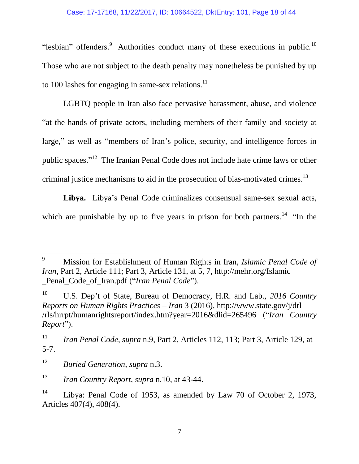"lesbian" offenders. $9$  Authorities conduct many of these executions in public.<sup>10</sup> Those who are not subject to the death penalty may nonetheless be punished by up to 100 lashes for engaging in same-sex relations.<sup>11</sup>

LGBTQ people in Iran also face pervasive harassment, abuse, and violence "at the hands of private actors, including members of their family and society at large," as well as "members of Iran's police, security, and intelligence forces in public spaces."<sup>12</sup> The Iranian Penal Code does not include hate crime laws or other criminal justice mechanisms to aid in the prosecution of bias-motivated crimes.<sup>13</sup>

**Libya.** Libya's Penal Code criminalizes consensual same-sex sexual acts, which are punishable by up to five years in prison for both partners.<sup>14</sup> "In the

<sup>9</sup> <sup>9</sup> Mission for Establishment of Human Rights in Iran, *Islamic Penal Code of Iran*, Part 2, Article 111; Part 3, Article 131, at 5, 7, http://mehr.org/Islamic Penal Code of Iran.pdf ("*Iran Penal Code*").

<sup>10</sup> U.S. Dep't of State, Bureau of Democracy, H.R. and Lab., *2016 Country Reports on Human Rights Practices – Iran* 3 (2016), http://www.state.gov/j/drl /rls/hrrpt/humanrightsreport/index.htm?year=2016&dlid=265496 ("*Iran Country Report*").

<sup>11</sup> *Iran Penal Code*, *supra* n.9, Part 2, Articles 112, 113; Part 3, Article 129, at 5-7.

<sup>12</sup> *Buried Generation*, *supra* n.3.

<sup>13</sup> *Iran Country Report*, *supra* n.10, at 43-44.

<sup>&</sup>lt;sup>14</sup> Libya: Penal Code of 1953, as amended by Law 70 of October 2, 1973, Articles 407(4), 408(4).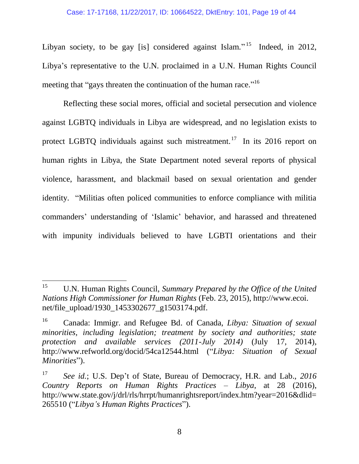#### Case: 17-17168, 11/22/2017, ID: 10664522, DktEntry: 101, Page 19 of 44

Libyan society, to be gay [is] considered against Islam."<sup>15</sup> Indeed, in 2012, Libya's representative to the U.N. proclaimed in a U.N. Human Rights Council meeting that "gays threaten the continuation of the human race."<sup>16</sup>

Reflecting these social mores, official and societal persecution and violence against LGBTQ individuals in Libya are widespread, and no legislation exists to protect LGBTQ individuals against such mistreatment.<sup>17</sup> In its 2016 report on human rights in Libya, the State Department noted several reports of physical violence, harassment, and blackmail based on sexual orientation and gender identity. "Militias often policed communities to enforce compliance with militia commanders' understanding of 'Islamic' behavior, and harassed and threatened with impunity individuals believed to have LGBTI orientations and their

<sup>15</sup> <sup>15</sup> U.N. Human Rights Council, *Summary Prepared by the Office of the United Nations High Commissioner for Human Rights* (Feb. 23, 2015), http://www.ecoi. net/file\_upload/1930\_1453302677\_g1503174.pdf.

<sup>16</sup> Canada: Immigr. and Refugee Bd. of Canada, *Libya: Situation of sexual minorities, including legislation; treatment by society and authorities; state protection and available services (2011-July 2014)* (July 17, 2014), http://www.refworld.org/docid/54ca12544.html ("*Libya: Situation of Sexual Minorities*").

<sup>17</sup> *See id.*; U.S. Dep't of State, Bureau of Democracy, H.R. and Lab., *2016 Country Reports on Human Rights Practices – Libya*, at 28 (2016), http://www.state.gov/j/drl/rls/hrrpt/humanrightsreport/index.htm?year=2016&dlid= 265510 ("*Libya's Human Rights Practices*").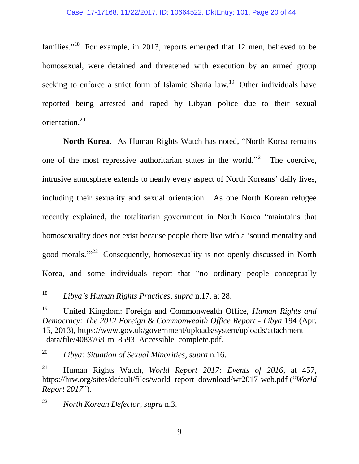families."<sup>18</sup> For example, in 2013, reports emerged that 12 men, believed to be homosexual, were detained and threatened with execution by an armed group seeking to enforce a strict form of Islamic Sharia law.<sup>19</sup> Other individuals have reported being arrested and raped by Libyan police due to their sexual orientation.<sup>20</sup>

**North Korea.** As Human Rights Watch has noted, "North Korea remains one of the most repressive authoritarian states in the world."<sup>21</sup> The coercive, intrusive atmosphere extends to nearly every aspect of North Koreans' daily lives, including their sexuality and sexual orientation. As one North Korean refugee recently explained, the totalitarian government in North Korea "maintains that homosexuality does not exist because people there live with a 'sound mentality and good morals."<sup>22</sup> Consequently, homosexuality is not openly discussed in North Korea, and some individuals report that "no ordinary people conceptually

<sup>22</sup> *North Korean Defector*, *supra* n.3.

<sup>18</sup> <sup>18</sup> *Libya's Human Rights Practices*, *supra* n.17, at 28.

<sup>19</sup> United Kingdom: Foreign and Commonwealth Office, *Human Rights and Democracy: The 2012 Foreign & Commonwealth Office Report - Libya* 194 (Apr. 15, 2013), https://www.gov.uk/government/uploads/system/uploads/attachment \_data/file/408376/Cm\_8593\_Accessible\_complete.pdf.

<sup>20</sup> *Libya: Situation of Sexual Minorities*, *supra* n.16.

<sup>21</sup> Human Rights Watch, *World Report 2017: Events of 2016*, at 457, https://hrw.org/sites/default/files/world\_report\_download/wr2017-web.pdf ("*World Report 2017*").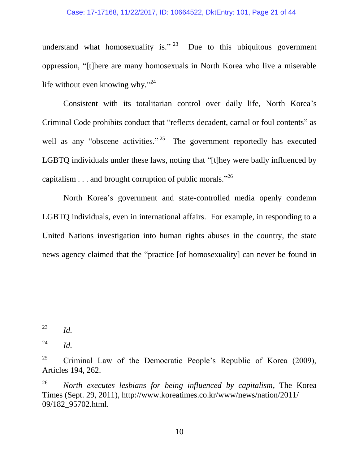understand what homosexuality is." <sup>23</sup> Due to this ubiquitous government oppression, "[t]here are many homosexuals in North Korea who live a miserable life without even knowing why."<sup>24</sup>

Consistent with its totalitarian control over daily life, North Korea's Criminal Code prohibits conduct that "reflects decadent, carnal or foul contents" as well as any "obscene activities."<sup>25</sup> The government reportedly has executed LGBTQ individuals under these laws, noting that "[t]hey were badly influenced by capitalism  $\dots$  and brought corruption of public morals."<sup>26</sup>

North Korea's government and state-controlled media openly condemn LGBTQ individuals, even in international affairs. For example, in responding to a United Nations investigation into human rights abuses in the country, the state news agency claimed that the "practice [of homosexuality] can never be found in

<sup>23</sup> *Id.* 

 $^{24}$  *Id.* 

<sup>&</sup>lt;sup>25</sup> Criminal Law of the Democratic People's Republic of Korea (2009), Articles 194, 262.

<sup>26</sup> *North executes lesbians for being influenced by capitalism*, The Korea Times (Sept. 29, 2011), http://www.koreatimes.co.kr/www/news/nation/2011/ 09/182\_95702.html.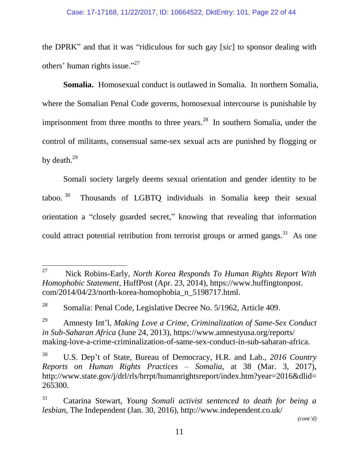the DPRK" and that it was "ridiculous for such gay [*sic*] to sponsor dealing with others' human rights issue."<sup>27</sup>

**Somalia.** Homosexual conduct is outlawed in Somalia. In northern Somalia, where the Somalian Penal Code governs, homosexual intercourse is punishable by imprisonment from three months to three years.<sup>28</sup> In southern Somalia, under the control of militants, consensual same-sex sexual acts are punished by flogging or by death.<sup>29</sup>

Somali society largely deems sexual orientation and gender identity to be taboo.  $30$  Thousands of LGBTQ individuals in Somalia keep their sexual orientation a "closely guarded secret," knowing that revealing that information could attract potential retribution from terrorist groups or armed gangs.<sup>31</sup> As one

*(cont'd)*

<sup>27</sup> <sup>27</sup> Nick Robins-Early, *North Korea Responds To Human Rights Report With Homophobic Statement*, HuffPost (Apr. 23, 2014), https://www.huffingtonpost. com/2014/04/23/north-korea-homophobia\_n\_5198717.html.

<sup>&</sup>lt;sup>28</sup> Somalia: Penal Code, Legislative Decree No.  $5/1962$ , Article 409.

<sup>29</sup> Amnesty Int'l, *Making Love a Crime, Criminalization of Same-Sex Conduct in Sub-Saharan Africa* (June 24, 2013), https://www.amnestyusa.org/reports/ making-love-a-crime-criminalization-of-same-sex-conduct-in-sub-saharan-africa.

<sup>30</sup> U.S. Dep't of State, Bureau of Democracy, H.R. and Lab., *2016 Country Reports on Human Rights Practices – Somalia*, at 38 (Mar. 3, 2017), http://www.state.gov/j/drl/rls/hrrpt/humanrightsreport/index.htm?year=2016&dlid= 265300.

<sup>31</sup> Catarina Stewart, *Young Somali activist sentenced to death for being a lesbian*, The Independent (Jan. 30, 2016), http://www.independent.co.uk/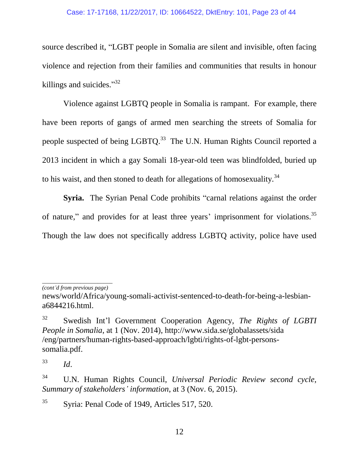source described it, "LGBT people in Somalia are silent and invisible, often facing violence and rejection from their families and communities that results in honour killings and suicides."<sup>32</sup>

Violence against LGBTQ people in Somalia is rampant. For example, there have been reports of gangs of armed men searching the streets of Somalia for people suspected of being LGBTQ.<sup>33</sup> The U.N. Human Rights Council reported a 2013 incident in which a gay Somali 18-year-old teen was blindfolded, buried up to his waist, and then stoned to death for allegations of homosexuality.<sup>34</sup>

**Syria.** The Syrian Penal Code prohibits "carnal relations against the order of nature," and provides for at least three years' imprisonment for violations.<sup>35</sup> Though the law does not specifically address LGBTQ activity, police have used

<sup>33</sup> *Id*.

<sup>35</sup> Syria: Penal Code of 1949, Articles 517, 520.

*\_\_\_\_\_\_\_\_\_\_\_\_\_\_\_\_\_\_\_\_\_\_\_\_ (cont'd from previous page)*

news/world/Africa/young-somali-activist-sentenced-to-death-for-being-a-lesbiana6844216.html.

<sup>32</sup> Swedish Int'l Government Cooperation Agency, *The Rights of LGBTI People in Somalia*, at 1 (Nov. 2014), http://www.sida.se/globalassets/sida /eng/partners/human-rights-based-approach/lgbti/rights-of-lgbt-personssomalia.pdf.

<sup>34</sup> U.N. Human Rights Council, *Universal Periodic Review second cycle, Summary of stakeholders' information*, at 3 (Nov. 6, 2015).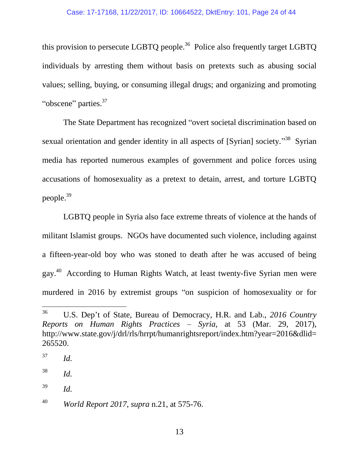this provision to persecute LGBTQ people.<sup>36</sup> Police also frequently target LGBTQ individuals by arresting them without basis on pretexts such as abusing social values; selling, buying, or consuming illegal drugs; and organizing and promoting "obscene" parties.<sup>37</sup>

The State Department has recognized "overt societal discrimination based on sexual orientation and gender identity in all aspects of [Syrian] society."<sup>38</sup> Syrian media has reported numerous examples of government and police forces using accusations of homosexuality as a pretext to detain, arrest, and torture LGBTQ people. 39

LGBTQ people in Syria also face extreme threats of violence at the hands of militant Islamist groups. NGOs have documented such violence, including against a fifteen-year-old boy who was stoned to death after he was accused of being gay.<sup>40</sup> According to Human Rights Watch, at least twenty-five Syrian men were murdered in 2016 by extremist groups "on suspicion of homosexuality or for

<sup>36</sup> <sup>36</sup> U.S. Dep't of State, Bureau of Democracy, H.R. and Lab., *2016 Country Reports on Human Rights Practices – Syria*, at 53 (Mar. 29, 2017), http://www.state.gov/j/drl/rls/hrrpt/humanrightsreport/index.htm?year=2016&dlid= 265520.

<sup>37</sup> *Id.*

<sup>38</sup> *Id.*

<sup>39</sup> *Id.*

<sup>40</sup> *World Report 2017*, *supra* n.21, at 575-76.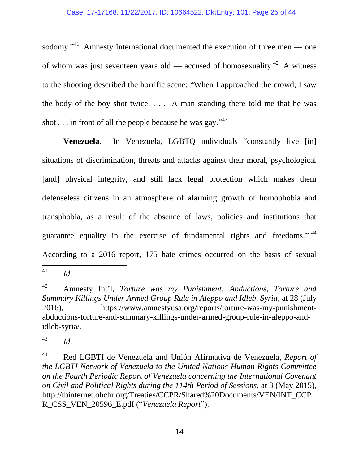sodomy."<sup>41</sup> Amnesty International documented the execution of three men — one of whom was just seventeen years old — accused of homosexuality.<sup>42</sup> A witness to the shooting described the horrific scene: "When I approached the crowd, I saw the body of the boy shot twice.  $\ldots$  A man standing there told me that he was shot . . . in front of all the people because he was gay." $43$ 

**Venezuela.** In Venezuela, LGBTQ individuals "constantly live [in] situations of discrimination, threats and attacks against their moral, psychological [and] physical integrity, and still lack legal protection which makes them defenseless citizens in an atmosphere of alarming growth of homophobia and transphobia, as a result of the absence of laws, policies and institutions that guarantee equality in the exercise of fundamental rights and freedoms."  $44$ According to a 2016 report, 175 hate crimes occurred on the basis of sexual

<sup>41</sup> <sup>41</sup> *Id*.

<sup>42</sup> Amnesty Int'l, *Torture was my Punishment: Abductions, Torture and Summary Killings Under Armed Group Rule in Aleppo and Idleb, Syria*, at 28 (July 2016), https://www.amnestyusa.org/reports/torture-was-my-punishmentabductions-torture-and-summary-killings-under-armed-group-rule-in-aleppo-andidleb-syria/.

<sup>43</sup> *Id*.

<sup>44</sup> Red LGBTI de Venezuela and Unión Afirmativa de Venezuela, *Report of the LGBTI Network of Venezuela to the United Nations Human Rights Committee on the Fourth Periodic Report of Venezuela concerning the International Covenant on Civil and Political Rights during the 114th Period of Sessions*, at 3 (May 2015), http://tbinternet.ohchr.org/Treaties/CCPR/Shared%20Documents/VEN/INT\_CCP R\_CSS\_VEN\_20596\_E.pdf ("*Venezuela Report*").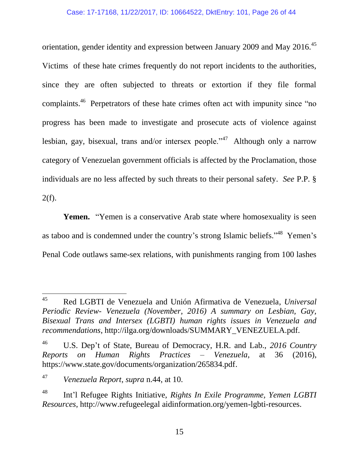orientation, gender identity and expression between January 2009 and May 2016.<sup>45</sup> Victims of these hate crimes frequently do not report incidents to the authorities, since they are often subjected to threats or extortion if they file formal complaints.<sup>46</sup> Perpetrators of these hate crimes often act with impunity since "no progress has been made to investigate and prosecute acts of violence against lesbian, gay, bisexual, trans and/or intersex people."<sup>47</sup> Although only a narrow category of Venezuelan government officials is affected by the Proclamation, those individuals are no less affected by such threats to their personal safety. *See* P.P. §  $2(f)$ .

**Yemen.** "Yemen is a conservative Arab state where homosexuality is seen as taboo and is condemned under the country's strong Islamic beliefs."<sup>48</sup> Yemen's Penal Code outlaws same-sex relations, with punishments ranging from 100 lashes

<sup>45</sup> <sup>45</sup> Red LGBTI de Venezuela and Unión Afirmativa de Venezuela, *Universal Periodic Review- Venezuela (November, 2016) A summary on Lesbian, Gay, Bisexual Trans and Intersex (LGBTI) human rights issues in Venezuela and recommendations*, http://ilga.org/downloads/SUMMARY\_VENEZUELA.pdf.

<sup>46</sup> U.S. Dep't of State, Bureau of Democracy, H.R. and Lab., *2016 Country Reports on Human Rights Practices – Venezuela*, at 36 (2016), https://www.state.gov/documents/organization/265834.pdf.

<sup>47</sup> *Venezuela Report*, *supra* n.44, at 10.

<sup>48</sup> Int'l Refugee Rights Initiative, *Rights In Exile Programme, Yemen LGBTI Resources*, http://www.refugeelegal aidinformation.org/yemen-lgbti-resources.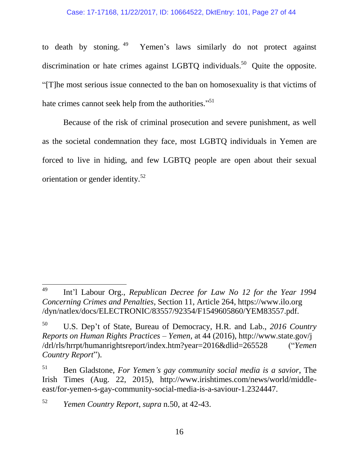to death by stoning.<sup>49</sup> Yemen's laws similarly do not protect against discrimination or hate crimes against LGBTQ individuals.<sup>50</sup> Quite the opposite. "[T]he most serious issue connected to the ban on homosexuality is that victims of hate crimes cannot seek help from the authorities."<sup>51</sup>

Because of the risk of criminal prosecution and severe punishment, as well as the societal condemnation they face, most LGBTQ individuals in Yemen are forced to live in hiding, and few LGBTQ people are open about their sexual orientation or gender identity.<sup>52</sup>

<sup>52</sup> *Yemen Country Report*, *supra* n.50, at 42-43.

<sup>49</sup> <sup>49</sup> Int'l Labour Org., *Republican Decree for Law No 12 for the Year 1994 Concerning Crimes and Penalties*, Section 11, Article 264, https://www.ilo.org /dyn/natlex/docs/ELECTRONIC/83557/92354/F1549605860/YEM83557.pdf.

<sup>50</sup> U.S. Dep't of State, Bureau of Democracy, H.R. and Lab., *2016 Country Reports on Human Rights Practices – Yemen*, at 44 (2016), http://www.state.gov/j /drl/rls/hrrpt/humanrightsreport/index.htm?year=2016&dlid=265528 ("*Yemen Country Report*").

<sup>51</sup> Ben Gladstone, *For Yemen's gay community social media is a savior*, The Irish Times (Aug. 22, 2015), http://www.irishtimes.com/news/world/middleeast/for-yemen-s-gay-community-social-media-is-a-saviour-1.2324447.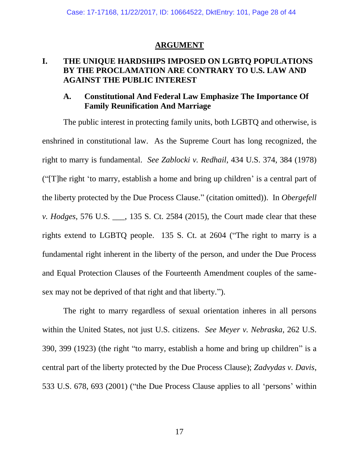#### **ARGUMENT**

### <span id="page-27-1"></span><span id="page-27-0"></span>**I. THE UNIQUE HARDSHIPS IMPOSED ON LGBTQ POPULATIONS BY THE PROCLAMATION ARE CONTRARY TO U.S. LAW AND AGAINST THE PUBLIC INTEREST**

### <span id="page-27-2"></span>**A. Constitutional And Federal Law Emphasize The Importance Of Family Reunification And Marriage**

The public interest in protecting family units, both LGBTQ and otherwise, is enshrined in constitutional law. As the Supreme Court has long recognized, the right to marry is fundamental. *See Zablocki v. Redhail*, 434 U.S. 374, 384 (1978) ("[T]he right 'to marry, establish a home and bring up children' is a central part of the liberty protected by the Due Process Clause." (citation omitted)). In *Obergefell v. Hodges*, 576 U.S. \_\_\_, 135 S. Ct. 2584 (2015), the Court made clear that these rights extend to LGBTQ people. 135 S. Ct. at 2604 ("The right to marry is a fundamental right inherent in the liberty of the person, and under the Due Process and Equal Protection Clauses of the Fourteenth Amendment couples of the samesex may not be deprived of that right and that liberty.").

The right to marry regardless of sexual orientation inheres in all persons within the United States, not just U.S. citizens. *See Meyer v. Nebraska*, 262 U.S. 390, 399 (1923) (the right "to marry, establish a home and bring up children" is a central part of the liberty protected by the Due Process Clause); *Zadvydas v. Davis*, 533 U.S. 678, 693 (2001) ("the Due Process Clause applies to all 'persons' within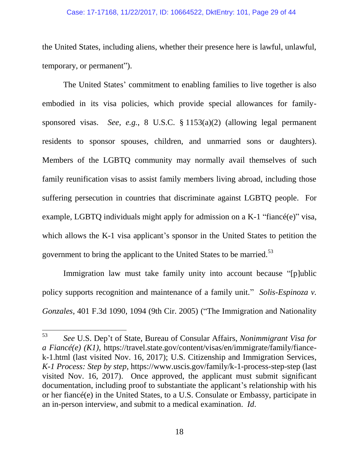#### Case: 17-17168, 11/22/2017, ID: 10664522, DktEntry: 101, Page 29 of 44

the United States, including aliens, whether their presence here is lawful, unlawful, temporary, or permanent").

The United States' commitment to enabling families to live together is also embodied in its visa policies, which provide special allowances for familysponsored visas. *See, e.g.*, 8 U.S.C. § 1153(a)(2) (allowing legal permanent residents to sponsor spouses, children, and unmarried sons or daughters). Members of the LGBTQ community may normally avail themselves of such family reunification visas to assist family members living abroad, including those suffering persecution in countries that discriminate against LGBTQ people. For example, LGBTO individuals might apply for admission on a  $K-1$  "fiance  $(e)$ " visa, which allows the K-1 visa applicant's sponsor in the United States to petition the government to bring the applicant to the United States to be married.<sup>53</sup>

Immigration law must take family unity into account because "[p]ublic policy supports recognition and maintenance of a family unit." *Solis-Espinoza v. Gonzales*, 401 F.3d 1090, 1094 (9th Cir. 2005) ("The Immigration and Nationality

<sup>53</sup> <sup>53</sup> *See* U.S. Dep't of State, Bureau of Consular Affairs, *Nonimmigrant Visa for a Fiancé(e) (K1)*, https://travel.state.gov/content/visas/en/immigrate/family/fiancek-1.html (last visited Nov. 16, 2017); U.S. Citizenship and Immigration Services, *K-1 Process: Step by step*, https://www.uscis.gov/family/k-1-process-step-step (last visited Nov. 16, 2017). Once approved, the applicant must submit significant documentation, including proof to substantiate the applicant's relationship with his or her fiancé(e) in the United States, to a U.S. Consulate or Embassy, participate in an in-person interview, and submit to a medical examination. *Id*.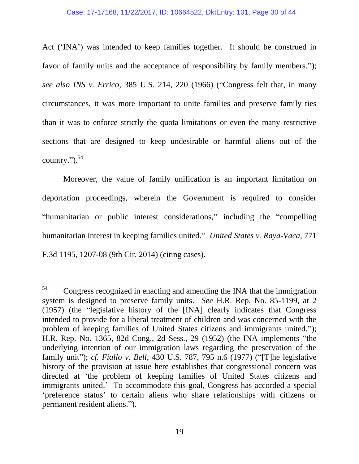Act ('INA') was intended to keep families together. It should be construed in favor of family units and the acceptance of responsibility by family members."); *see also INS v. Errico*, 385 U.S. 214, 220 (1966) ("Congress felt that, in many circumstances, it was more important to unite families and preserve family ties than it was to enforce strictly the quota limitations or even the many restrictive sections that are designed to keep undesirable or harmful aliens out of the country."). 54

Moreover, the value of family unification is an important limitation on deportation proceedings, wherein the Government is required to consider "humanitarian or public interest considerations," including the "compelling humanitarian interest in keeping families united." *United States v. Raya-Vaca*, 771 F.3d 1195, 1207-08 (9th Cir. 2014) (citing cases).

<sup>54</sup> <sup>54</sup> Congress recognized in enacting and amending the INA that the immigration system is designed to preserve family units. *See* H.R. Rep. No. 85-1199, at 2 (1957) (the "legislative history of the [INA] clearly indicates that Congress intended to provide for a liberal treatment of children and was concerned with the problem of keeping families of United States citizens and immigrants united."); H.R. Rep. No. 1365, 82d Cong., 2d Sess., 29 (1952) (the INA implements "the underlying intention of our immigration laws regarding the preservation of the family unit"); *cf. Fiallo v. Bell*, 430 U.S. 787, 795 n.6 (1977) ("[T]he legislative history of the provision at issue here establishes that congressional concern was directed at 'the problem of keeping families of United States citizens and immigrants united.' To accommodate this goal, Congress has accorded a special 'preference status' to certain aliens who share relationships with citizens or permanent resident aliens.").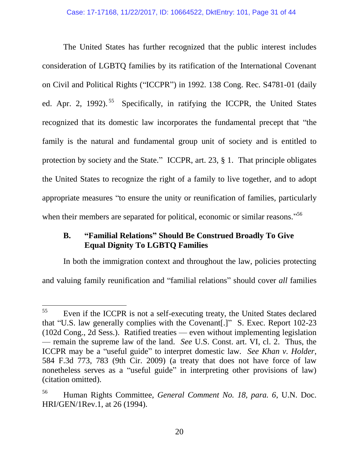The United States has further recognized that the public interest includes consideration of LGBTQ families by its ratification of the International Covenant on Civil and Political Rights ("ICCPR") in 1992. 138 Cong. Rec. S4781-01 (daily ed. Apr. 2, 1992).<sup>55</sup> Specifically, in ratifying the ICCPR, the United States recognized that its domestic law incorporates the fundamental precept that "the family is the natural and fundamental group unit of society and is entitled to protection by society and the State." ICCPR, art. 23, § 1. That principle obligates the United States to recognize the right of a family to live together, and to adopt appropriate measures "to ensure the unity or reunification of families, particularly when their members are separated for political, economic or similar reasons."<sup>56</sup>

### <span id="page-30-0"></span>**B. "Familial Relations" Should Be Construed Broadly To Give Equal Dignity To LGBTQ Families**

In both the immigration context and throughout the law, policies protecting and valuing family reunification and "familial relations" should cover *all* families

<sup>55</sup> Even if the ICCPR is not a self-executing treaty, the United States declared that "U.S. law generally complies with the Covenant[.]" S. Exec. Report 102-23 (102d Cong., 2d Sess.). Ratified treaties — even without implementing legislation — remain the supreme law of the land. *See* U.S. Const. art. VI, cl. 2. Thus, the ICCPR may be a "useful guide" to interpret domestic law. *See Khan v. Holder*, 584 F.3d 773, 783 (9th Cir. 2009) (a treaty that does not have force of law nonetheless serves as a "useful guide" in interpreting other provisions of law) (citation omitted).

<sup>56</sup> Human Rights Committee, *General Comment No. 18, para. 6*, U.N. Doc. HRI/GEN/1Rev.1, at 26 (1994).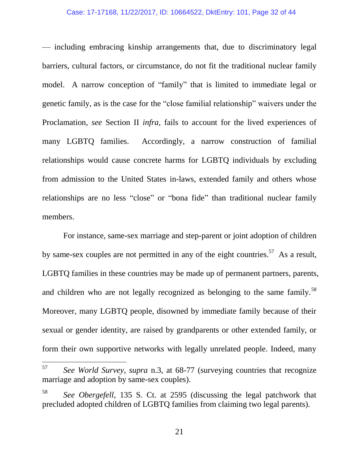#### Case: 17-17168, 11/22/2017, ID: 10664522, DktEntry: 101, Page 32 of 44

— including embracing kinship arrangements that, due to discriminatory legal barriers, cultural factors, or circumstance, do not fit the traditional nuclear family model. A narrow conception of "family" that is limited to immediate legal or genetic family, as is the case for the "close familial relationship" waivers under the Proclamation, *see* Section II *infra*, fails to account for the lived experiences of many LGBTQ families. Accordingly, a narrow construction of familial relationships would cause concrete harms for LGBTQ individuals by excluding from admission to the United States in-laws, extended family and others whose relationships are no less "close" or "bona fide" than traditional nuclear family members.

For instance, same-sex marriage and step-parent or joint adoption of children by same-sex couples are not permitted in any of the eight countries.<sup>57</sup> As a result, LGBTQ families in these countries may be made up of permanent partners, parents, and children who are not legally recognized as belonging to the same family.<sup>58</sup> Moreover, many LGBTQ people, disowned by immediate family because of their sexual or gender identity, are raised by grandparents or other extended family, or form their own supportive networks with legally unrelated people. Indeed, many

<sup>57</sup> <sup>57</sup> *See World Survey*, *supra* n.3, at 68-77 (surveying countries that recognize marriage and adoption by same-sex couples).

See Obergefell, 135 S. Ct. at 2595 (discussing the legal patchwork that precluded adopted children of LGBTQ families from claiming two legal parents).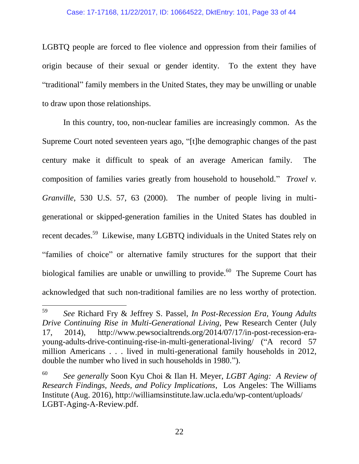#### Case: 17-17168, 11/22/2017, ID: 10664522, DktEntry: 101, Page 33 of 44

LGBTQ people are forced to flee violence and oppression from their families of origin because of their sexual or gender identity. To the extent they have "traditional" family members in the United States, they may be unwilling or unable to draw upon those relationships.

In this country, too, non-nuclear families are increasingly common. As the Supreme Court noted seventeen years ago, "[t]he demographic changes of the past century make it difficult to speak of an average American family. The composition of families varies greatly from household to household." *Troxel v. Granville*, 530 U.S. 57, 63 (2000). The number of people living in multigenerational or skipped-generation families in the United States has doubled in recent decades.<sup>59</sup> Likewise, many LGBTQ individuals in the United States rely on "families of choice" or alternative family structures for the support that their biological families are unable or unwilling to provide.  $60$  The Supreme Court has acknowledged that such non-traditional families are no less worthy of protection.

<sup>59</sup> <sup>59</sup> *See* Richard Fry & Jeffrey S. Passel, *In Post-Recession Era, Young Adults Drive Continuing Rise in Multi-Generational Living*, Pew Research Center (July 17, 2014), http://www.pewsocialtrends.org/2014/07/17/in-post-recession-erayoung-adults-drive-continuing-rise-in-multi-generational-living/ ("A record 57 million Americans . . . lived in multi-generational family households in 2012, double the number who lived in such households in 1980.").

<sup>60</sup> *See generally* Soon Kyu Choi & Ilan H. Meyer, *LGBT Aging: A Review of Research Findings, Needs, and Policy Implications*, Los Angeles: The Williams Institute (Aug. 2016), http://williamsinstitute.law.ucla.edu/wp-content/uploads/ LGBT-Aging-A-Review.pdf.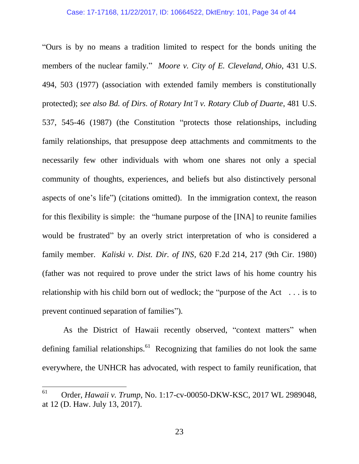"Ours is by no means a tradition limited to respect for the bonds uniting the members of the nuclear family." *Moore v. City of E. Cleveland, Ohio*, 431 U.S. 494, 503 (1977) (association with extended family members is constitutionally protected); *see also Bd. of Dirs. of Rotary Int'l v. Rotary Club of Duarte*, 481 U.S. 537, 545-46 (1987) (the Constitution "protects those relationships, including family relationships, that presuppose deep attachments and commitments to the necessarily few other individuals with whom one shares not only a special community of thoughts, experiences, and beliefs but also distinctively personal aspects of one's life") (citations omitted). In the immigration context, the reason for this flexibility is simple: the "humane purpose of the [INA] to reunite families would be frustrated" by an overly strict interpretation of who is considered a family member. *Kaliski v. Dist. Dir. of INS*, 620 F.2d 214, 217 (9th Cir. 1980) (father was not required to prove under the strict laws of his home country his relationship with his child born out of wedlock; the "purpose of the Act . . . is to prevent continued separation of families").

As the District of Hawaii recently observed, "context matters" when defining familial relationships.<sup>61</sup> Recognizing that families do not look the same everywhere, the UNHCR has advocated, with respect to family reunification, that

<sup>61</sup> <sup>61</sup> Order, *Hawaii v. Trump*, No. 1:17-cv-00050-DKW-KSC, 2017 WL 2989048, at 12 (D. Haw. July 13, 2017).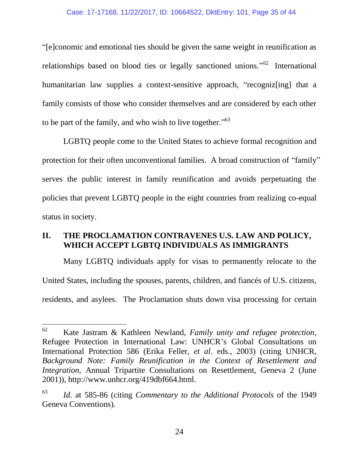"[e]conomic and emotional ties should be given the same weight in reunification as relationships based on blood ties or legally sanctioned unions."<sup>62</sup> International humanitarian law supplies a context-sensitive approach, "recogniz[ing] that a family consists of those who consider themselves and are considered by each other to be part of the family, and who wish to live together."<sup>63</sup>

LGBTQ people come to the United States to achieve formal recognition and protection for their often unconventional families. A broad construction of "family" serves the public interest in family reunification and avoids perpetuating the policies that prevent LGBTQ people in the eight countries from realizing co-equal status in society.

### <span id="page-34-0"></span>**II. THE PROCLAMATION CONTRAVENES U.S. LAW AND POLICY, WHICH ACCEPT LGBTQ INDIVIDUALS AS IMMIGRANTS**

Many LGBTQ individuals apply for visas to permanently relocate to the United States, including the spouses, parents, children, and fiancés of U.S. citizens, residents, and asylees. The Proclamation shuts down visa processing for certain

<sup>62</sup> <sup>62</sup> Kate Jastram & Kathleen Newland, *Family unity and refugee protection*, Refugee Protection in International Law: UNHCR's Global Consultations on International Protection 586 (Erika Feller, *et al*. eds., 2003) (citing UNHCR, *Background Note: Family Reunification in the Context of Resettlement and Integration*, Annual Tripartite Consultations on Resettlement, Geneva 2 (June 2001)), http://www.unhcr.org/419dbf664.html.

<sup>63</sup> *Id.* at 585-86 (citing *Commentary to the Additional Protocols* of the 1949 Geneva Conventions).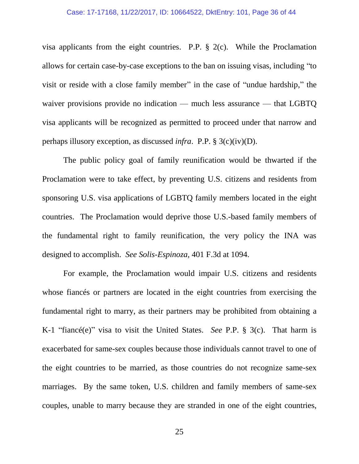#### Case: 17-17168, 11/22/2017, ID: 10664522, DktEntry: 101, Page 36 of 44

visa applicants from the eight countries. P.P. § 2(c). While the Proclamation allows for certain case-by-case exceptions to the ban on issuing visas, including "to visit or reside with a close family member" in the case of "undue hardship," the waiver provisions provide no indication — much less assurance — that LGBTQ visa applicants will be recognized as permitted to proceed under that narrow and perhaps illusory exception, as discussed *infra*. P.P. § 3(c)(iv)(D).

The public policy goal of family reunification would be thwarted if the Proclamation were to take effect, by preventing U.S. citizens and residents from sponsoring U.S. visa applications of LGBTQ family members located in the eight countries. The Proclamation would deprive those U.S.-based family members of the fundamental right to family reunification, the very policy the INA was designed to accomplish. *See Solis-Espinoza*, 401 F.3d at 1094.

For example, the Proclamation would impair U.S. citizens and residents whose fiancés or partners are located in the eight countries from exercising the fundamental right to marry, as their partners may be prohibited from obtaining a K-1 "fiancé(e)" visa to visit the United States. *See* P.P. § 3(c). That harm is exacerbated for same-sex couples because those individuals cannot travel to one of the eight countries to be married, as those countries do not recognize same-sex marriages. By the same token, U.S. children and family members of same-sex couples, unable to marry because they are stranded in one of the eight countries,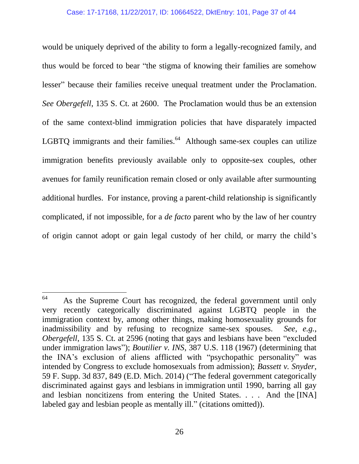would be uniquely deprived of the ability to form a legally-recognized family, and thus would be forced to bear "the stigma of knowing their families are somehow lesser" because their families receive unequal treatment under the Proclamation. *See Obergefell*, 135 S. Ct. at 2600. The Proclamation would thus be an extension of the same context-blind immigration policies that have disparately impacted LGBTQ immigrants and their families. $^{64}$  Although same-sex couples can utilize immigration benefits previously available only to opposite-sex couples, other avenues for family reunification remain closed or only available after surmounting additional hurdles. For instance, proving a parent-child relationship is significantly complicated, if not impossible, for a *de facto* parent who by the law of her country of origin cannot adopt or gain legal custody of her child, or marry the child's

l

<sup>&</sup>lt;sup>64</sup> As the Supreme Court has recognized, the federal government until only very recently categorically discriminated against LGBTQ people in the immigration context by, among other things, making homosexuality grounds for inadmissibility and by refusing to recognize same-sex spouses. *See, e.g.*, *Obergefell*, 135 S. Ct. at 2596 (noting that gays and lesbians have been "excluded" under immigration laws"); *Boutilier v. INS*, 387 U.S. 118 (1967) (determining that the INA's exclusion of aliens afflicted with "psychopathic personality" was intended by Congress to exclude homosexuals from admission); *Bassett v. Snyder*, 59 F. Supp. 3d 837, 849 (E.D. Mich. 2014) ("The federal government categorically discriminated against gays and lesbians in immigration until 1990, barring all gay and lesbian noncitizens from entering the United States. . . . And the [INA] labeled gay and lesbian people as mentally ill." (citations omitted)).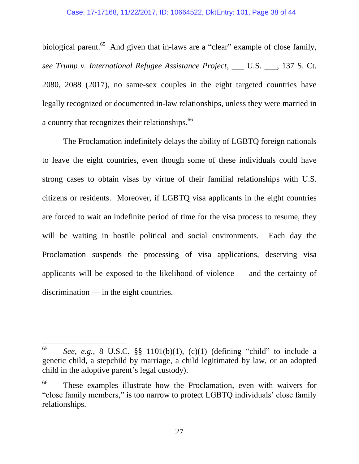biological parent.<sup>65</sup> And given that in-laws are a "clear" example of close family, *see Trump v. International Refugee Assistance Project*, \_\_\_ U.S. \_\_\_, 137 S. Ct. 2080, 2088 (2017), no same-sex couples in the eight targeted countries have legally recognized or documented in-law relationships, unless they were married in a country that recognizes their relationships.<sup>66</sup>

The Proclamation indefinitely delays the ability of LGBTQ foreign nationals to leave the eight countries, even though some of these individuals could have strong cases to obtain visas by virtue of their familial relationships with U.S. citizens or residents. Moreover, if LGBTQ visa applicants in the eight countries are forced to wait an indefinite period of time for the visa process to resume, they will be waiting in hostile political and social environments. Each day the Proclamation suspends the processing of visa applications, deserving visa applicants will be exposed to the likelihood of violence — and the certainty of discrimination — in the eight countries.

<sup>65</sup> <sup>65</sup> *See, e.g.*, 8 U.S.C. §§ 1101(b)(1), (c)(1) (defining "child" to include a genetic child, a stepchild by marriage, a child legitimated by law, or an adopted child in the adoptive parent's legal custody).

<sup>66</sup> These examples illustrate how the Proclamation, even with waivers for "close family members," is too narrow to protect LGBTQ individuals' close family relationships.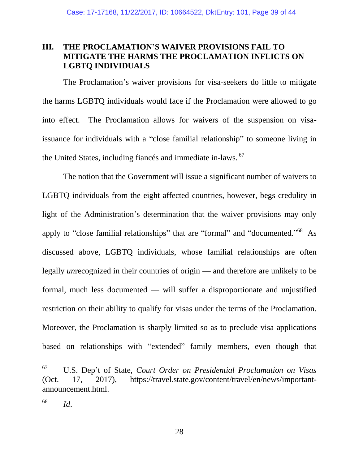### <span id="page-38-0"></span>**III. THE PROCLAMATION'S WAIVER PROVISIONS FAIL TO MITIGATE THE HARMS THE PROCLAMATION INFLICTS ON LGBTQ INDIVIDUALS**

The Proclamation's waiver provisions for visa-seekers do little to mitigate the harms LGBTQ individuals would face if the Proclamation were allowed to go into effect. The Proclamation allows for waivers of the suspension on visaissuance for individuals with a "close familial relationship" to someone living in the United States, including fiances and immediate in-laws. <sup>67</sup>

The notion that the Government will issue a significant number of waivers to LGBTQ individuals from the eight affected countries, however, begs credulity in light of the Administration's determination that the waiver provisions may only apply to "close familial relationships" that are "formal" and "documented."<sup>68</sup> As discussed above, LGBTQ individuals, whose familial relationships are often legally *un*recognized in their countries of origin — and therefore are unlikely to be formal, much less documented — will suffer a disproportionate and unjustified restriction on their ability to qualify for visas under the terms of the Proclamation. Moreover, the Proclamation is sharply limited so as to preclude visa applications based on relationships with "extended" family members, even though that

<sup>67</sup> <sup>67</sup> U.S. Dep't of State, *Court Order on Presidential Proclamation on Visas* (Oct. 17, 2017), https://travel.state.gov/content/travel/en/news/importantannouncement.html.

 $^{68}$  *Id.*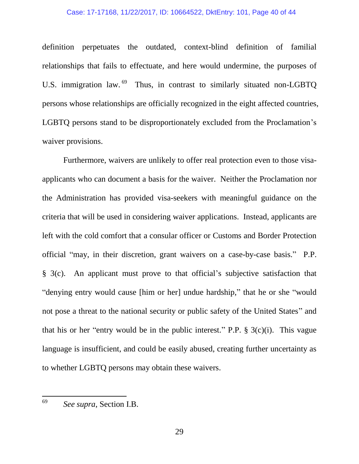#### Case: 17-17168, 11/22/2017, ID: 10664522, DktEntry: 101, Page 40 of 44

definition perpetuates the outdated, context-blind definition of familial relationships that fails to effectuate, and here would undermine, the purposes of U.S. immigration law.<sup>69</sup> Thus, in contrast to similarly situated non-LGBTQ persons whose relationships are officially recognized in the eight affected countries, LGBTQ persons stand to be disproportionately excluded from the Proclamation's waiver provisions.

Furthermore, waivers are unlikely to offer real protection even to those visaapplicants who can document a basis for the waiver. Neither the Proclamation nor the Administration has provided visa-seekers with meaningful guidance on the criteria that will be used in considering waiver applications. Instead, applicants are left with the cold comfort that a consular officer or Customs and Border Protection official "may, in their discretion, grant waivers on a case-by-case basis." P.P. § 3(c). An applicant must prove to that official's subjective satisfaction that "denying entry would cause [him or her] undue hardship," that he or she "would not pose a threat to the national security or public safety of the United States" and that his or her "entry would be in the public interest." P.P.  $\S$  3(c)(i). This vague language is insufficient, and could be easily abused, creating further uncertainty as to whether LGBTQ persons may obtain these waivers.

<sup>69</sup> <sup>69</sup> *See supra*, Section I.B.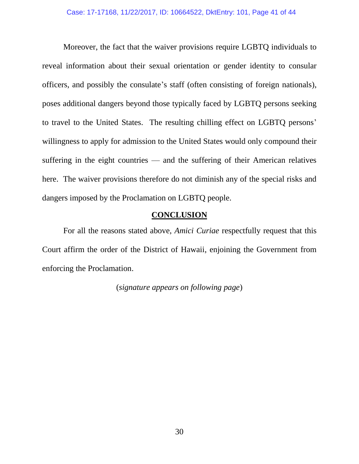Moreover, the fact that the waiver provisions require LGBTQ individuals to reveal information about their sexual orientation or gender identity to consular officers, and possibly the consulate's staff (often consisting of foreign nationals), poses additional dangers beyond those typically faced by LGBTQ persons seeking to travel to the United States. The resulting chilling effect on LGBTQ persons' willingness to apply for admission to the United States would only compound their suffering in the eight countries — and the suffering of their American relatives here. The waiver provisions therefore do not diminish any of the special risks and dangers imposed by the Proclamation on LGBTQ people.

#### **CONCLUSION**

<span id="page-40-0"></span>For all the reasons stated above, *Amici Curiae* respectfully request that this Court affirm the order of the District of Hawaii, enjoining the Government from enforcing the Proclamation.

(*signature appears on following page*)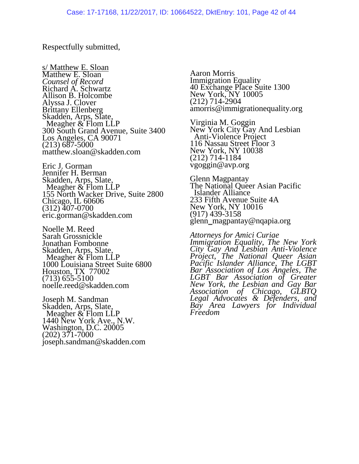#### Respectfully submitted,

s/ Matthew E. Sloan Matthew E. Sloan *Counsel of Record* Richard A. Schwartz Allison B. Holcombe Alyssa J. Clover Brittany Ellenberg Skadden, Arps, Slate, Meagher & Flom LLP 300 South Grand Avenue, Suite 3400 Los Angeles, CA 90071 (213) 687-5000 matthew.sloan@skadden.com

Eric J. Gorman Jennifer H. Berman Skadden, Arps, Slate, Meagher & Flom LLP 155 North Wacker Drive, Suite 2800 Chicago, IL 60606 (312) 407-0700 eric.gorman@skadden.com

Noelle M. Reed Sarah Grossnickle Jonathan Fombonne Skadden, Arps, Slate, Meagher & Flom LLP 1000 Louisiana Street Suite 6800 Houston, TX 77002 (713) 655-5100 noelle.reed@skadden.com

Joseph M. Sandman Skadden, Arps, Slate, Meagher & Flom LLP 1440 New York Ave., N.W. Washington, D.C. 20005 (202) 371-7000 joseph.sandman@skadden.com Aaron Morris Immigration Equality 40 Exchange Place Suite 1300 New York, NY 10005 (212) 714-2904 amorris@immigrationequality.org

Virginia M. Goggin New York City Gay And Lesbian Anti-Violence Project 116 Nassau Street Floor 3 New York, NY 10038 (212) 714-1184 vgoggin@avp.org

Glenn Magpantay The National Queer Asian Pacific Islander Alliance 233 Fifth Avenue Suite 4A New York, NY 10016 (917) 439-3158 glenn\_magpantay@nqapia.org

*Attorneys for Amici Curiae Immigration Equality, The New York City Gay And Lesbian Anti-Violence Project, The National Queer Asian Pacific Islander Alliance, The LGBT Bar Association of Los Angeles, The LGBT Bar Association of Greater New York, the Lesbian and Gay Bar Association of Chicago, GLBTQ Legal Advocates & Defenders, and Bay Area Lawyers for Individual Freedom*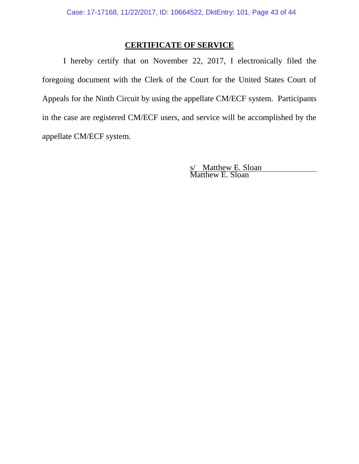#### **CERTIFICATE OF SERVICE**

I hereby certify that on November 22, 2017, I electronically filed the foregoing document with the Clerk of the Court for the United States Court of Appeals for the Ninth Circuit by using the appellate CM/ECF system. Participants in the case are registered CM/ECF users, and service will be accomplished by the appellate CM/ECF system.

> s/ Matthew E. Sloan Matthew E. Sloan